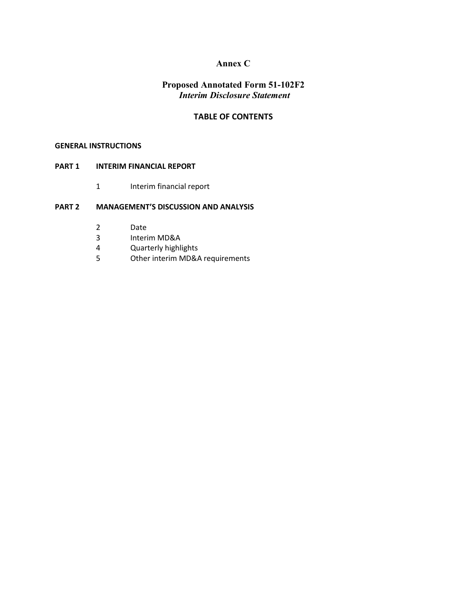# **Annex C**

# **Proposed Annotated Form 51-102F2** *Interim Disclosure Statement*

# **TABLE OF CONTENTS**

#### **GENERAL INSTRUCTIONS**

# **PART 1 INTERIM FINANCIAL REPORT**

1 Interim financial report

# **PART 2 MANAGEMENT'S DISCUSSION AND ANALYSIS**

- 2 Date
- 3 Interim MD&A
- 4 Quarterly highlights
- 5 Other interim MD&A requirements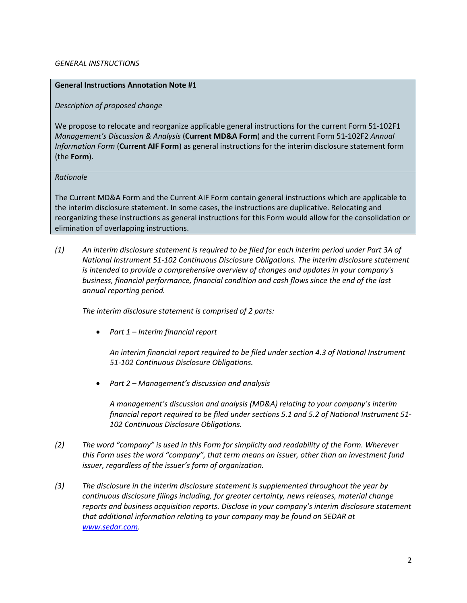### *GENERAL INSTRUCTIONS*

#### **General Instructions Annotation Note #1**

### *Description of proposed change*

We propose to relocate and reorganize applicable general instructions for the current Form 51-102F1 *Management's Discussion & Analysis* (**Current MD&A Form**) and the current Form 51-102F2 *Annual Information Form* (**Current AIF Form**) as general instructions for the interim disclosure statement form (the **Form**).

#### *Rationale*

The Current MD&A Form and the Current AIF Form contain general instructions which are applicable to the interim disclosure statement. In some cases, the instructions are duplicative. Relocating and reorganizing these instructions as general instructions for this Form would allow for the consolidation or elimination of overlapping instructions.

*(1) An interim disclosure statement is required to be filed for each interim period under Part 3A of National Instrument 51-102 Continuous Disclosure Obligations. The interim disclosure statement is intended to provide a comprehensive overview of changes and updates in your company's business, financial performance, financial condition and cash flows since the end of the last annual reporting period.*

*The interim disclosure statement is comprised of 2 parts:*

• *Part 1 – Interim financial report*

*An interim financial report required to be filed under section 4.3 of National Instrument 51-102 Continuous Disclosure Obligations.*

• *Part 2 – Management's discussion and analysis*

*A management's discussion and analysis (MD&A) relating to your company's interim financial report required to be filed under sections 5.1 and 5.2 of National Instrument 51- 102 Continuous Disclosure Obligations.*

- *(2) The word "company" is used in this Form for simplicity and readability of the Form. Wherever this Form uses the word "company", that term means an issuer, other than an investment fund issuer, regardless of the issuer's form of organization.*
- *(3) The disclosure in the interim disclosure statement is supplemented throughout the year by continuous disclosure filings including, for greater certainty, news releases, material change reports and business acquisition reports. Disclose in your company's interim disclosure statement that additional information relating to your company may be found on SEDAR at [www.sedar.com.](http://www.sedar.com/)*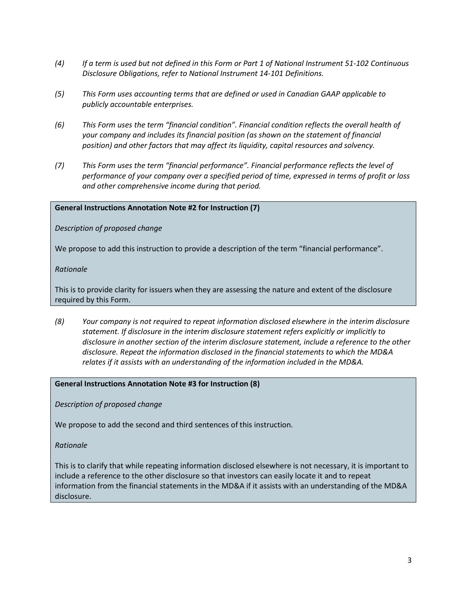- *(4) If a term is used but not defined in this Form or Part 1 of National Instrument 51-102 Continuous Disclosure Obligations, refer to National Instrument 14-101 Definitions.*
- *(5) This Form uses accounting terms that are defined or used in Canadian GAAP applicable to publicly accountable enterprises.*
- *(6) This Form uses the term "financial condition". Financial condition reflects the overall health of your company and includes its financial position (as shown on the statement of financial position) and other factors that may affect its liquidity, capital resources and solvency.*
- *(7) This Form uses the term "financial performance". Financial performance reflects the level of performance of your company over a specified period of time, expressed in terms of profit or loss and other comprehensive income during that period.*

# **General Instructions Annotation Note #2 for Instruction (7)**

*Description of proposed change*

We propose to add this instruction to provide a description of the term "financial performance".

*Rationale*

This is to provide clarity for issuers when they are assessing the nature and extent of the disclosure required by this Form.

*(8) Your company is not required to repeat information disclosed elsewhere in the interim disclosure statement. If disclosure in the interim disclosure statement refers explicitly or implicitly to disclosure in another section of the interim disclosure statement, include a reference to the other disclosure. Repeat the information disclosed in the financial statements to which the MD&A relates if it assists with an understanding of the information included in the MD&A.* 

#### **General Instructions Annotation Note #3 for Instruction (8)**

*Description of proposed change*

We propose to add the second and third sentences of this instruction.

*Rationale*

This is to clarify that while repeating information disclosed elsewhere is not necessary, it is important to include a reference to the other disclosure so that investors can easily locate it and to repeat information from the financial statements in the MD&A if it assists with an understanding of the MD&A disclosure.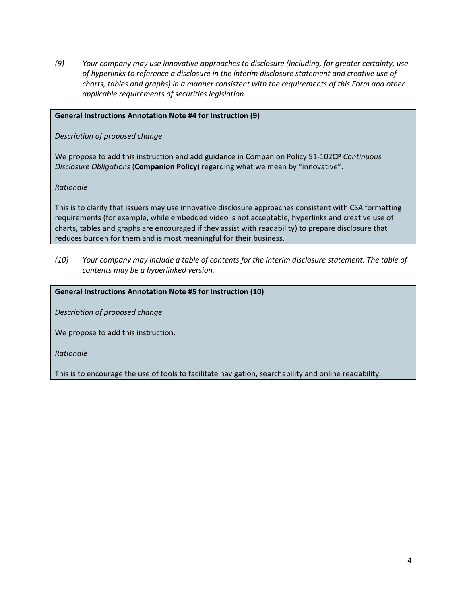*(9) Your company may use innovative approaches to disclosure (including, for greater certainty, use of hyperlinks to reference a disclosure in the interim disclosure statement and creative use of charts, tables and graphs) in a manner consistent with the requirements of this Form and other applicable requirements of securities legislation.* 

# **General Instructions Annotation Note #4 for Instruction (9)**

*Description of proposed change*

We propose to add this instruction and add guidance in Companion Policy 51-102CP *Continuous Disclosure Obligations* (**Companion Policy**) regarding what we mean by "innovative".

*Rationale*

This is to clarify that issuers may use innovative disclosure approaches consistent with CSA formatting requirements (for example, while embedded video is not acceptable, hyperlinks and creative use of charts, tables and graphs are encouraged if they assist with readability) to prepare disclosure that reduces burden for them and is most meaningful for their business.

*(10) Your company may include a table of contents for the interim disclosure statement. The table of contents may be a hyperlinked version.* 

# **General Instructions Annotation Note #5 for Instruction (10)**

*Description of proposed change*

We propose to add this instruction.

*Rationale*

This is to encourage the use of tools to facilitate navigation, searchability and online readability.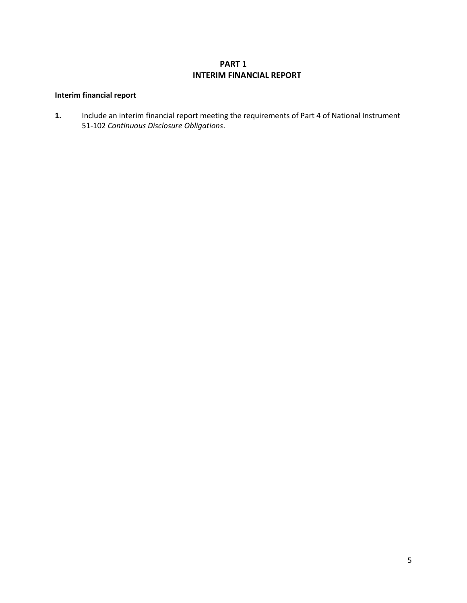# **PART 1 INTERIM FINANCIAL REPORT**

# **Interim financial report**

**1.** Include an interim financial report meeting the requirements of Part 4 of National Instrument 51-102 *Continuous Disclosure Obligations*.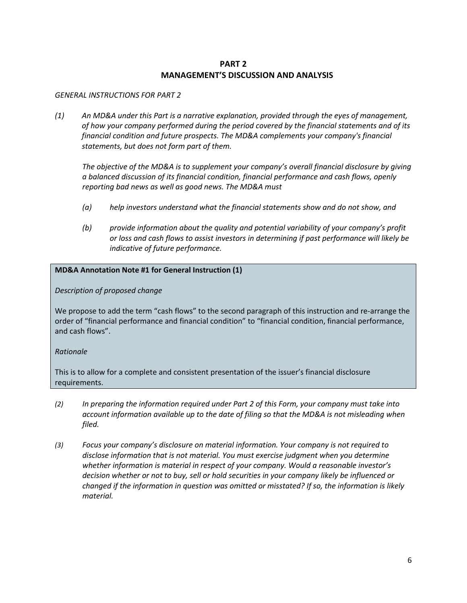# **PART 2 MANAGEMENT'S DISCUSSION AND ANALYSIS**

#### *GENERAL INSTRUCTIONS FOR PART 2*

*(1) An MD&A under this Part is a narrative explanation, provided through the eyes of management, of how your company performed during the period covered by the financial statements and of its financial condition and future prospects. The MD&A complements your company's financial statements, but does not form part of them.*

*The objective of the MD&A is to supplement your company's overall financial disclosure by giving a balanced discussion of its financial condition, financial performance and cash flows, openly reporting bad news as well as good news. The MD&A must*

- *(a) help investors understand what the financial statements show and do not show, and*
- *(b) provide information about the quality and potential variability of your company's profit or loss and cash flows to assist investors in determining if past performance will likely be indicative of future performance.*

# **MD&A Annotation Note #1 for General Instruction (1)**

*Description of proposed change*

We propose to add the term "cash flows" to the second paragraph of this instruction and re-arrange the order of "financial performance and financial condition" to "financial condition, financial performance, and cash flows".

# *Rationale*

This is to allow for a complete and consistent presentation of the issuer's financial disclosure requirements.

- *(2) In preparing the information required under Part 2 of this Form, your company must take into account information available up to the date of filing so that the MD&A is not misleading when filed.*
- *(3) Focus your company's disclosure on material information. Your company is not required to disclose information that is not material. You must exercise judgment when you determine whether information is material in respect of your company. Would a reasonable investor's decision whether or not to buy, sell or hold securities in your company likely be influenced or changed if the information in question was omitted or misstated? If so, the information is likely material.*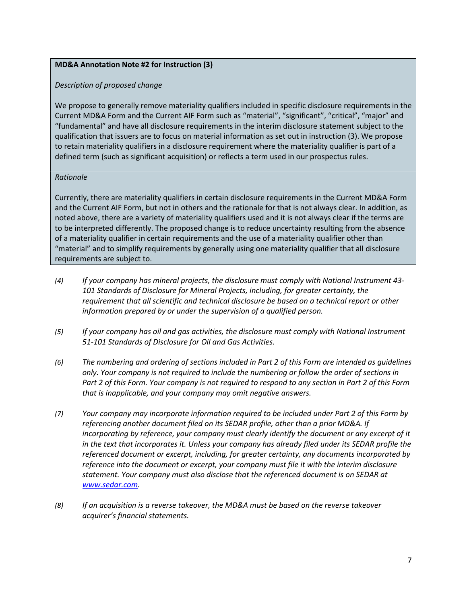# **MD&A Annotation Note #2 for Instruction (3)**

# *Description of proposed change*

We propose to generally remove materiality qualifiers included in specific disclosure requirements in the Current MD&A Form and the Current AIF Form such as "material", "significant", "critical", "major" and "fundamental" and have all disclosure requirements in the interim disclosure statement subject to the qualification that issuers are to focus on material information as set out in instruction (3). We propose to retain materiality qualifiers in a disclosure requirement where the materiality qualifier is part of a defined term (such as significant acquisition) or reflects a term used in our prospectus rules.

# *Rationale*

Currently, there are materiality qualifiers in certain disclosure requirements in the Current MD&A Form and the Current AIF Form, but not in others and the rationale for that is not always clear. In addition, as noted above, there are a variety of materiality qualifiers used and it is not always clear if the terms are to be interpreted differently. The proposed change is to reduce uncertainty resulting from the absence of a materiality qualifier in certain requirements and the use of a materiality qualifier other than "material" and to simplify requirements by generally using one materiality qualifier that all disclosure requirements are subject to.

- *(4) If your company has mineral projects, the disclosure must comply with National Instrument 43- 101 Standards of Disclosure for Mineral Projects, including, for greater certainty, the requirement that all scientific and technical disclosure be based on a technical report or other information prepared by or under the supervision of a qualified person.*
- *(5) If your company has oil and gas activities, the disclosure must comply with National Instrument 51-101 Standards of Disclosure for Oil and Gas Activities.*
- *(6) The numbering and ordering of sections included in Part 2 of this Form are intended as guidelines only. Your company is not required to include the numbering or follow the order of sections in Part 2 of this Form. Your company is not required to respond to any section in Part 2 of this Form that is inapplicable, and your company may omit negative answers.*
- *(7) Your company may incorporate information required to be included under Part 2 of this Form by referencing another document filed on its SEDAR profile, other than a prior MD&A. If incorporating by reference, your company must clearly identify the document or any excerpt of it in the text that incorporates it. Unless your company has already filed under its SEDAR profile the referenced document or excerpt, including, for greater certainty, any documents incorporated by reference into the document or excerpt, your company must file it with the interim disclosure statement. Your company must also disclose that the referenced document is on SEDAR at [www.sedar.com.](http://www.sedar.com/)*
- *(8) If an acquisition is a reverse takeover, the MD&A must be based on the reverse takeover acquirer's financial statements.*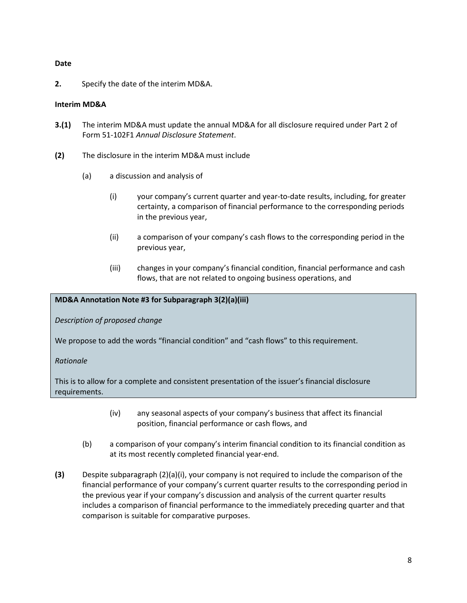# **Date**

**2.** Specify the date of the interim MD&A.

# **Interim MD&A**

- **3.(1)** The interim MD&A must update the annual MD&A for all disclosure required under Part 2 of Form 51-102F1 *Annual Disclosure Statement*.
- **(2)** The disclosure in the interim MD&A must include
	- (a) a discussion and analysis of
		- (i) your company's current quarter and year-to-date results, including, for greater certainty, a comparison of financial performance to the corresponding periods in the previous year,
		- (ii) a comparison of your company's cash flows to the corresponding period in the previous year,
		- (iii) changes in your company's financial condition, financial performance and cash flows, that are not related to ongoing business operations, and

# **MD&A Annotation Note #3 for Subparagraph 3(2)(a)(iii)**

*Description of proposed change*

We propose to add the words "financial condition" and "cash flows" to this requirement.

# *Rationale*

This is to allow for a complete and consistent presentation of the issuer's financial disclosure requirements.

- (iv) any seasonal aspects of your company's business that affect its financial position, financial performance or cash flows, and
- (b) a comparison of your company's interim financial condition to its financial condition as at its most recently completed financial year-end.
- **(3)** Despite subparagraph (2)(a)(i), your company is not required to include the comparison of the financial performance of your company's current quarter results to the corresponding period in the previous year if your company's discussion and analysis of the current quarter results includes a comparison of financial performance to the immediately preceding quarter and that comparison is suitable for comparative purposes.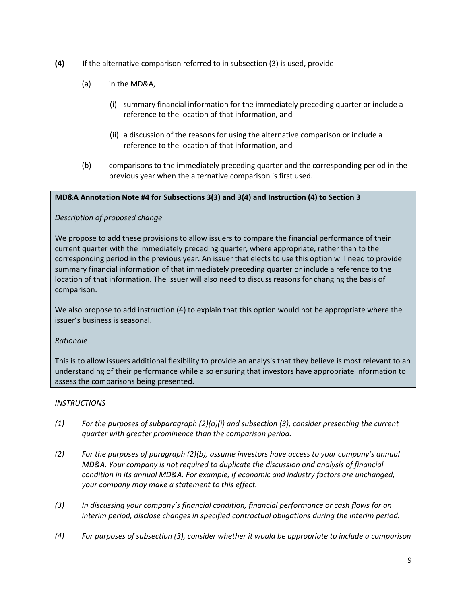- **(4)** If the alternative comparison referred to in subsection (3) is used, provide
	- (a) in the MD&A,
		- (i) summary financial information for the immediately preceding quarter or include a reference to the location of that information, and
		- (ii) a discussion of the reasons for using the alternative comparison or include a reference to the location of that information, and
	- (b) comparisons to the immediately preceding quarter and the corresponding period in the previous year when the alternative comparison is first used.

# **MD&A Annotation Note #4 for Subsections 3(3) and 3(4) and Instruction (4) to Section 3**

# *Description of proposed change*

We propose to add these provisions to allow issuers to compare the financial performance of their current quarter with the immediately preceding quarter, where appropriate, rather than to the corresponding period in the previous year. An issuer that elects to use this option will need to provide summary financial information of that immediately preceding quarter or include a reference to the location of that information. The issuer will also need to discuss reasons for changing the basis of comparison.

We also propose to add instruction (4) to explain that this option would not be appropriate where the issuer's business is seasonal.

# *Rationale*

This is to allow issuers additional flexibility to provide an analysis that they believe is most relevant to an understanding of their performance while also ensuring that investors have appropriate information to assess the comparisons being presented.

# *INSTRUCTIONS*

- *(1) For the purposes of subparagraph (2)(a)(i) and subsection (3), consider presenting the current quarter with greater prominence than the comparison period.*
- *(2) For the purposes of paragraph (2)(b), assume investors have access to your company's annual MD&A. Your company is not required to duplicate the discussion and analysis of financial condition in its annual MD&A. For example, if economic and industry factors are unchanged, your company may make a statement to this effect.*
- *(3) In discussing your company's financial condition, financial performance or cash flows for an interim period, disclose changes in specified contractual obligations during the interim period.*
- *(4) For purposes of subsection (3), consider whether it would be appropriate to include a comparison*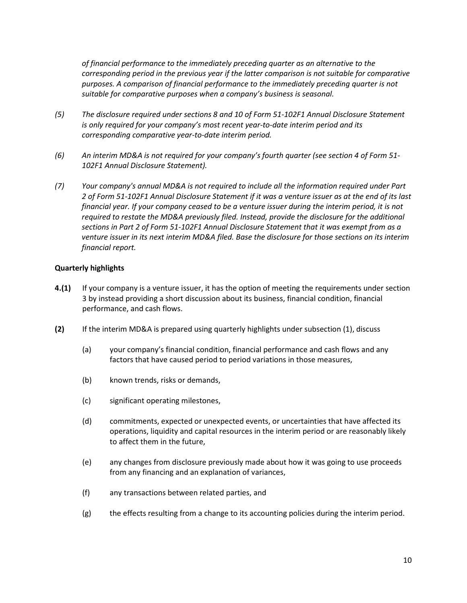*of financial performance to the immediately preceding quarter as an alternative to the corresponding period in the previous year if the latter comparison is not suitable for comparative purposes. A comparison of financial performance to the immediately preceding quarter is not suitable for comparative purposes when a company's business is seasonal.*

- *(5) The disclosure required under sections 8 and 10 of Form 51-102F1 Annual Disclosure Statement is only required for your company's most recent year-to-date interim period and its corresponding comparative year-to-date interim period.*
- *(6) An interim MD&A is not required for your company's fourth quarter (see section 4 of Form 51- 102F1 Annual Disclosure Statement).*
- *(7) Your company's annual MD&A is not required to include all the information required under Part 2 of Form 51-102F1 Annual Disclosure Statement if it was a venture issuer as at the end of its last financial year. If your company ceased to be a venture issuer during the interim period, it is not required to restate the MD&A previously filed. Instead, provide the disclosure for the additional sections in Part 2 of Form 51-102F1 Annual Disclosure Statement that it was exempt from as a venture issuer in its next interim MD&A filed. Base the disclosure for those sections on its interim financial report.*

# **Quarterly highlights**

- **4.(1)** If your company is a venture issuer, it has the option of meeting the requirements under section 3 by instead providing a short discussion about its business, financial condition, financial performance, and cash flows.
- **(2)** If the interim MD&A is prepared using quarterly highlights under subsection (1), discuss
	- (a) your company's financial condition, financial performance and cash flows and any factors that have caused period to period variations in those measures,
	- (b) known trends, risks or demands,
	- (c) significant operating milestones,
	- (d) commitments, expected or unexpected events, or uncertainties that have affected its operations, liquidity and capital resources in the interim period or are reasonably likely to affect them in the future,
	- (e) any changes from disclosure previously made about how it was going to use proceeds from any financing and an explanation of variances,
	- (f) any transactions between related parties, and
	- $(g)$  the effects resulting from a change to its accounting policies during the interim period.